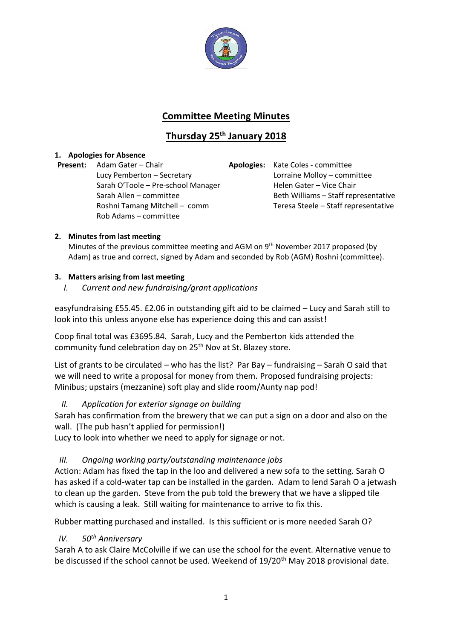

# **Committee Meeting Minutes**

# **Thursday 25th January 2018**

# **1. Apologies for Absence**

**Present:** Adam Gater – Chair **Apologies:** Kate Coles - committee Lucy Pemberton – Secretary Lorraine Molloy – committee Sarah O'Toole – Pre-school Manager Helen Gater – Vice Chair Rob Adams – committee

Sarah Allen – committee Beth Williams – Staff representative Roshni Tamang Mitchell – comm Teresa Steele – Staff representative

# **2. Minutes from last meeting**

Minutes of the previous committee meeting and AGM on 9<sup>th</sup> November 2017 proposed (by Adam) as true and correct, signed by Adam and seconded by Rob (AGM) Roshni (committee).

## **3. Matters arising from last meeting**

*I. Current and new fundraising/grant applications*

easyfundraising £55.45. £2.06 in outstanding gift aid to be claimed – Lucy and Sarah still to look into this unless anyone else has experience doing this and can assist!

Coop final total was £3695.84. Sarah, Lucy and the Pemberton kids attended the community fund celebration day on 25<sup>th</sup> Nov at St. Blazey store.

List of grants to be circulated – who has the list? Par Bay – fundraising – Sarah O said that we will need to write a proposal for money from them. Proposed fundraising projects: Minibus; upstairs (mezzanine) soft play and slide room/Aunty nap pod!

# *II. Application for exterior signage on building*

Sarah has confirmation from the brewery that we can put a sign on a door and also on the wall. (The pub hasn't applied for permission!)

Lucy to look into whether we need to apply for signage or not.

# *III. Ongoing working party/outstanding maintenance jobs*

Action: Adam has fixed the tap in the loo and delivered a new sofa to the setting. Sarah O has asked if a cold-water tap can be installed in the garden. Adam to lend Sarah O a jetwash to clean up the garden. Steve from the pub told the brewery that we have a slipped tile which is causing a leak. Still waiting for maintenance to arrive to fix this.

Rubber matting purchased and installed. Is this sufficient or is more needed Sarah O?

# *IV. 50th Anniversary*

Sarah A to ask Claire McColville if we can use the school for the event. Alternative venue to be discussed if the school cannot be used. Weekend of 19/20<sup>th</sup> May 2018 provisional date.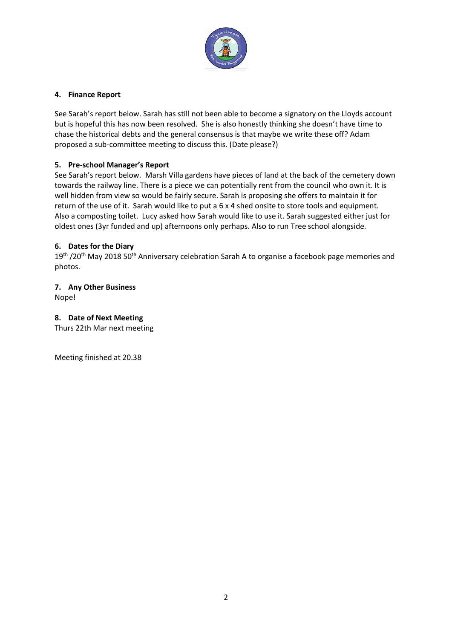

#### **4. Finance Report**

See Sarah's report below. Sarah has still not been able to become a signatory on the Lloyds account but is hopeful this has now been resolved. She is also honestly thinking she doesn't have time to chase the historical debts and the general consensus is that maybe we write these off? Adam proposed a sub-committee meeting to discuss this. (Date please?)

# **5. Pre-school Manager's Report**

See Sarah's report below. Marsh Villa gardens have pieces of land at the back of the cemetery down towards the railway line. There is a piece we can potentially rent from the council who own it. It is well hidden from view so would be fairly secure. Sarah is proposing she offers to maintain it for return of the use of it. Sarah would like to put a 6 x 4 shed onsite to store tools and equipment. Also a composting toilet. Lucy asked how Sarah would like to use it. Sarah suggested either just for oldest ones (3yr funded and up) afternoons only perhaps. Also to run Tree school alongside.

## **6. Dates for the Diary**

19<sup>th</sup> /20<sup>th</sup> May 2018 50<sup>th</sup> Anniversary celebration Sarah A to organise a facebook page memories and photos.

# **7. Any Other Business**

Nope!

### **8. Date of Next Meeting**

Thurs 22th Mar next meeting

Meeting finished at 20.38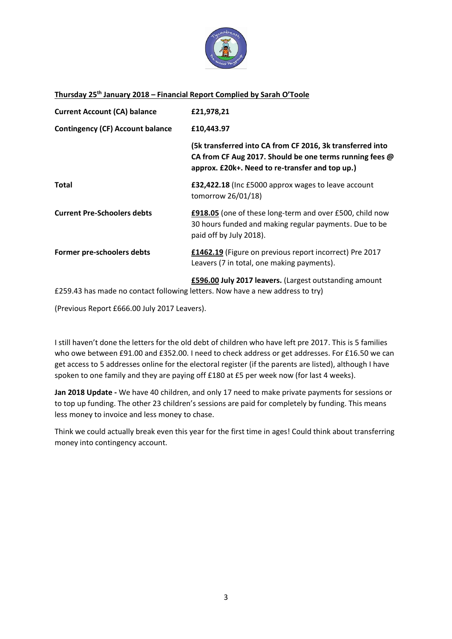

#### **Thursday 25th January 2018 – Financial Report Complied by Sarah O'Toole**

| <b>Current Account (CA) balance</b>     | £21,978,21                                                                                                                                                              |
|-----------------------------------------|-------------------------------------------------------------------------------------------------------------------------------------------------------------------------|
| <b>Contingency (CF) Account balance</b> | £10,443.97                                                                                                                                                              |
|                                         | (5k transferred into CA from CF 2016, 3k transferred into<br>CA from CF Aug 2017. Should be one terms running fees @<br>approx. £20k+. Need to re-transfer and top up.) |
| Total                                   | £32,422.18 (Inc £5000 approx wages to leave account<br>tomorrow 26/01/18)                                                                                               |
| <b>Current Pre-Schoolers debts</b>      | £918.05 (one of these long-term and over £500, child now<br>30 hours funded and making regular payments. Due to be<br>paid off by July 2018).                           |
| Former pre-schoolers debts              | £1462.19 (Figure on previous report incorrect) Pre 2017<br>Leavers (7 in total, one making payments).                                                                   |
|                                         | £596.00 July 2017 leavers. (Largest outstanding amount                                                                                                                  |

£259.43 has made no contact following letters. Now have a new address to try)

(Previous Report £666.00 July 2017 Leavers).

I still haven't done the letters for the old debt of children who have left pre 2017. This is 5 families who owe between £91.00 and £352.00. I need to check address or get addresses. For £16.50 we can get access to 5 addresses online for the electoral register (if the parents are listed), although I have spoken to one family and they are paying off £180 at £5 per week now (for last 4 weeks).

**Jan 2018 Update -** We have 40 children, and only 17 need to make private payments for sessions or to top up funding. The other 23 children's sessions are paid for completely by funding. This means less money to invoice and less money to chase.

Think we could actually break even this year for the first time in ages! Could think about transferring money into contingency account.